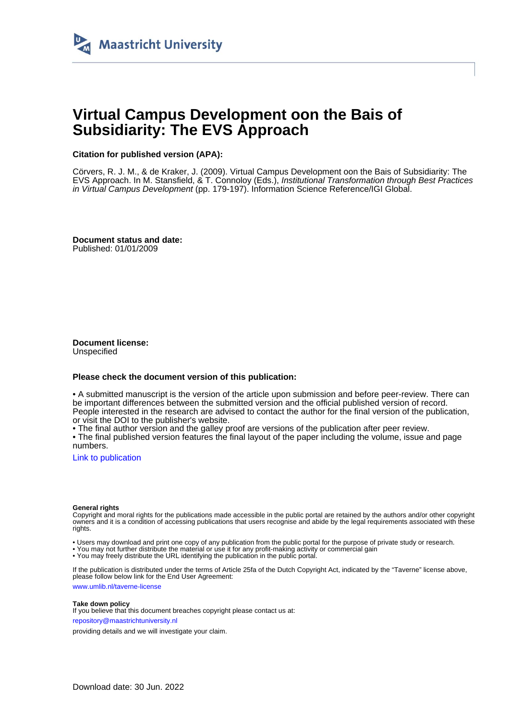

## **Virtual Campus Development oon the Bais of Subsidiarity: The EVS Approach**

#### **Citation for published version (APA):**

Cörvers, R. J. M., & de Kraker, J. (2009). Virtual Campus Development oon the Bais of Subsidiarity: The EVS Approach. In M. Stansfield, & T. Connoloy (Eds.), Institutional Transformation through Best Practices in Virtual Campus Development (pp. 179-197). Information Science Reference/IGI Global.

**Document status and date:** Published: 01/01/2009

**Document license:** Unspecified

#### **Please check the document version of this publication:**

• A submitted manuscript is the version of the article upon submission and before peer-review. There can be important differences between the submitted version and the official published version of record. People interested in the research are advised to contact the author for the final version of the publication, or visit the DOI to the publisher's website.

• The final author version and the galley proof are versions of the publication after peer review.

• The final published version features the final layout of the paper including the volume, issue and page numbers.

[Link to publication](https://cris.maastrichtuniversity.nl/en/publications/3643eaf7-71a6-4048-96ae-fa024a3f5e2d)

#### **General rights**

Copyright and moral rights for the publications made accessible in the public portal are retained by the authors and/or other copyright owners and it is a condition of accessing publications that users recognise and abide by the legal requirements associated with these rights.

• Users may download and print one copy of any publication from the public portal for the purpose of private study or research.

• You may not further distribute the material or use it for any profit-making activity or commercial gain

• You may freely distribute the URL identifying the publication in the public portal.

If the publication is distributed under the terms of Article 25fa of the Dutch Copyright Act, indicated by the "Taverne" license above, please follow below link for the End User Agreement:

www.umlib.nl/taverne-license

#### **Take down policy**

If you believe that this document breaches copyright please contact us at: repository@maastrichtuniversity.nl

providing details and we will investigate your claim.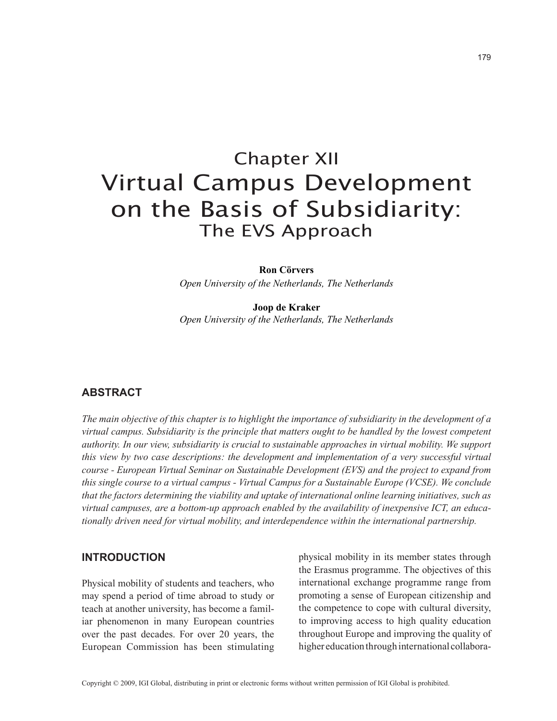# Chapter XII Virtual Campus Development on the Basis of Subsidiarity: The EVS Approach

**Ron Cörvers**

*Open University of the Netherlands, The Netherlands*

**Joop de Kraker** *Open University of the Netherlands, The Netherlands*

#### **Abstract**

*The main objective of this chapter is to highlight the importance of subsidiarity in the development of a virtual campus. Subsidiarity is the principle that matters ought to be handled by the lowest competent authority. In our view, subsidiarity is crucial to sustainable approaches in virtual mobility. We support this view by two case descriptions: the development and implementation of a very successful virtual course - European Virtual Seminar on Sustainable Development (EVS) and the project to expand from this single course to a virtual campus - Virtual Campus for a Sustainable Europe (VCSE). We conclude that the factors determining the viability and uptake of international online learning initiatives, such as virtual campuses, are a bottom-up approach enabled by the availability of inexpensive ICT, an educationally driven need for virtual mobility, and interdependence within the international partnership.*

#### **Introduction**

Physical mobility of students and teachers, who may spend a period of time abroad to study or teach at another university, has become a familiar phenomenon in many European countries over the past decades. For over 20 years, the European Commission has been stimulating physical mobility in its member states through the Erasmus programme. The objectives of this international exchange programme range from promoting a sense of European citizenship and the competence to cope with cultural diversity, to improving access to high quality education throughout Europe and improving the quality of higher education through international collabora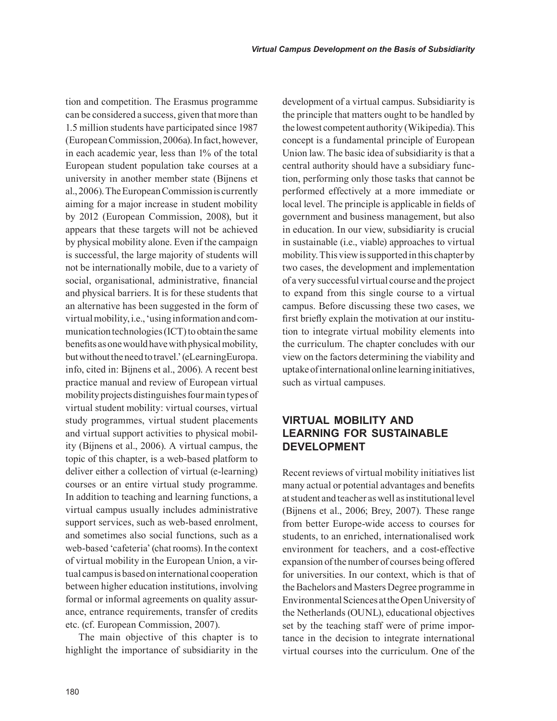tion and competition. The Erasmus programme can be considered a success, given that more than 1.5 million students have participated since 1987 (European Commission, 2006a). In fact, however, in each academic year, less than 1% of the total European student population take courses at a university in another member state (Bijnens et al., 2006). The European Commission is currently aiming for a major increase in student mobility by 2012 (European Commission, 2008), but it appears that these targets will not be achieved by physical mobility alone. Even if the campaign is successful, the large majority of students will not be internationally mobile, due to a variety of social, organisational, administrative, financial and physical barriers. It is for these students that an alternative has been suggested in the form of virtual mobility, i.e., 'using information and communication technologies (ICT) to obtain the same benefits as one would have with physical mobility, but without the need to travel.' (eLearningEuropa. info, cited in: Bijnens et al., 2006). A recent best practice manual and review of European virtual mobility projects distinguishes four main types of virtual student mobility: virtual courses, virtual study programmes, virtual student placements and virtual support activities to physical mobility (Bijnens et al., 2006). A virtual campus, the topic of this chapter, is a web-based platform to deliver either a collection of virtual (e-learning) courses or an entire virtual study programme. In addition to teaching and learning functions, a virtual campus usually includes administrative support services, such as web-based enrolment, and sometimes also social functions, such as a web-based 'cafeteria' (chat rooms). In the context of virtual mobility in the European Union, a virtual campus is based on international cooperation between higher education institutions, involving formal or informal agreements on quality assurance, entrance requirements, transfer of credits etc. (cf. European Commission, 2007).

The main objective of this chapter is to highlight the importance of subsidiarity in the development of a virtual campus. Subsidiarity is the principle that matters ought to be handled by the lowest competent authority (Wikipedia). This concept is a fundamental principle of European Union law. The basic idea of subsidiarity is that a central authority should have a subsidiary function, performing only those tasks that cannot be performed effectively at a more immediate or local level. The principle is applicable in fields of government and business management, but also in education. In our view, subsidiarity is crucial in sustainable (i.e., viable) approaches to virtual mobility. This view is supported in this chapter by two cases, the development and implementation of a very successful virtual course and the project to expand from this single course to a virtual campus. Before discussing these two cases, we first briefly explain the motivation at our institution to integrate virtual mobility elements into the curriculum. The chapter concludes with our view on the factors determining the viability and uptake of international online learning initiatives, such as virtual campuses.

### **Virtual Mobility and Learning for Sustainable Development**

Recent reviews of virtual mobility initiatives list many actual or potential advantages and benefits at student and teacher as well as institutional level (Bijnens et al., 2006; Brey, 2007). These range from better Europe-wide access to courses for students, to an enriched, internationalised work environment for teachers, and a cost-effective expansion of the number of courses being offered for universities. In our context, which is that of the Bachelors and Masters Degree programme in Environmental Sciences at the Open University of the Netherlands (OUNL), educational objectives set by the teaching staff were of prime importance in the decision to integrate international virtual courses into the curriculum. One of the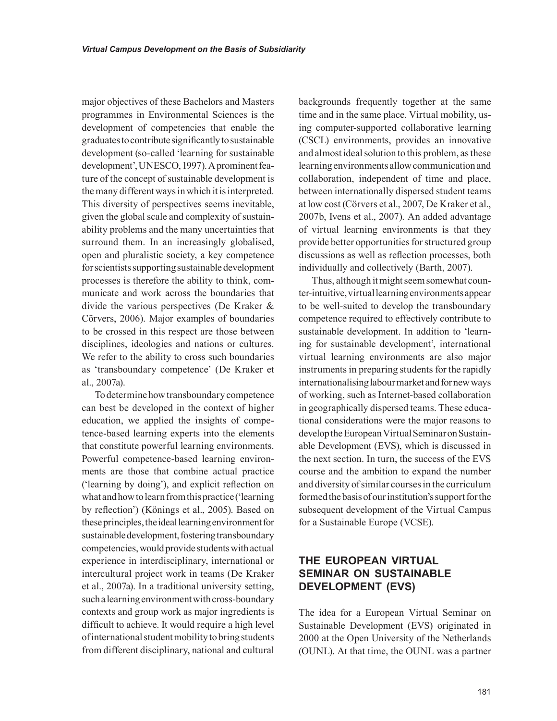major objectives of these Bachelors and Masters programmes in Environmental Sciences is the development of competencies that enable the graduates to contribute significantly to sustainable development (so-called 'learning for sustainable development', UNESCO, 1997). A prominent feature of the concept of sustainable development is the many different ways in which it is interpreted. This diversity of perspectives seems inevitable, given the global scale and complexity of sustainability problems and the many uncertainties that surround them. In an increasingly globalised, open and pluralistic society, a key competence for scientists supporting sustainable development processes is therefore the ability to think, communicate and work across the boundaries that divide the various perspectives (De Kraker & Cörvers, 2006). Major examples of boundaries to be crossed in this respect are those between disciplines, ideologies and nations or cultures. We refer to the ability to cross such boundaries as 'transboundary competence' (De Kraker et al., 2007a).

To determine how transboundary competence can best be developed in the context of higher education, we applied the insights of competence-based learning experts into the elements that constitute powerful learning environments. Powerful competence-based learning environments are those that combine actual practice ('learning by doing'), and explicit reflection on what and how to learn from this practice ('learning by reflection') (Könings et al., 2005). Based on these principles, the ideal learning environment for sustainable development, fostering transboundary competencies, would provide students with actual experience in interdisciplinary, international or intercultural project work in teams (De Kraker et al., 2007a). In a traditional university setting, such a learning environment with cross-boundary contexts and group work as major ingredients is difficult to achieve. It would require a high level of international student mobility to bring students from different disciplinary, national and cultural

backgrounds frequently together at the same time and in the same place. Virtual mobility, using computer-supported collaborative learning (CSCL) environments, provides an innovative and almost ideal solution to this problem, as these learning environments allow communication and collaboration, independent of time and place, between internationally dispersed student teams at low cost (Cörvers et al., 2007, De Kraker et al., 2007b, Ivens et al., 2007). An added advantage of virtual learning environments is that they provide better opportunities for structured group discussions as well as reflection processes, both individually and collectively (Barth, 2007).

Thus, although it might seem somewhat counter-intuitive, virtual learning environments appear to be well-suited to develop the transboundary competence required to effectively contribute to sustainable development. In addition to 'learning for sustainable development', international virtual learning environments are also major instruments in preparing students for the rapidly internationalising labour market and for new ways of working, such as Internet-based collaboration in geographically dispersed teams. These educational considerations were the major reasons to develop the European Virtual Seminar on Sustainable Development (EVS), which is discussed in the next section. In turn, the success of the EVS course and the ambition to expand the number and diversity of similar courses in the curriculum formed the basis of our institution's support for the subsequent development of the Virtual Campus for a Sustainable Europe (VCSE).

#### **The European Virtual Seminar on Sustainable Development (EVS)**

The idea for a European Virtual Seminar on Sustainable Development (EVS) originated in 2000 at the Open University of the Netherlands (OUNL). At that time, the OUNL was a partner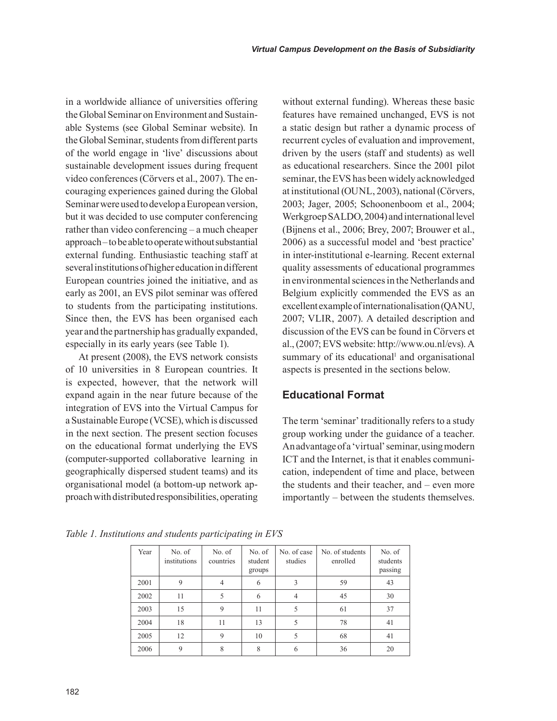in a worldwide alliance of universities offering the Global Seminar on Environment and Sustainable Systems (see Global Seminar website). In the Global Seminar, students from different parts of the world engage in 'live' discussions about sustainable development issues during frequent video conferences (Cörvers et al., 2007). The encouraging experiences gained during the Global Seminar were used to develop a European version, but it was decided to use computer conferencing rather than video conferencing – a much cheaper approach – to be able to operate without substantial external funding. Enthusiastic teaching staff at several institutions of higher education in different European countries joined the initiative, and as early as 2001, an EVS pilot seminar was offered to students from the participating institutions. Since then, the EVS has been organised each year and the partnership has gradually expanded, especially in its early years (see Table 1).

At present (2008), the EVS network consists of 10 universities in 8 European countries. It is expected, however, that the network will expand again in the near future because of the integration of EVS into the Virtual Campus for a Sustainable Europe (VCSE), which is discussed in the next section. The present section focuses on the educational format underlying the EVS (computer-supported collaborative learning in geographically dispersed student teams) and its organisational model (a bottom-up network approach with distributed responsibilities, operating without external funding). Whereas these basic features have remained unchanged, EVS is not a static design but rather a dynamic process of recurrent cycles of evaluation and improvement, driven by the users (staff and students) as well as educational researchers. Since the 2001 pilot seminar, the EVS has been widely acknowledged at institutional (OUNL, 2003), national (Cörvers, 2003; Jager, 2005; Schoonenboom et al., 2004; Werkgroep SALDO, 2004) and international level (Bijnens et al., 2006; Brey, 2007; Brouwer et al., 2006) as a successful model and 'best practice' in inter-institutional e-learning. Recent external quality assessments of educational programmes in environmental sciences in the Netherlands and Belgium explicitly commended the EVS as an excellent example of internationalisation (QANU, 2007; VLIR, 2007). A detailed description and discussion of the EVS can be found in Cörvers et al., (2007; EVS website: http://www.ou.nl/evs). A summary of its educational<sup>1</sup> and organisational aspects is presented in the sections below.

#### **Educational Format**

The term 'seminar' traditionally refers to a study group working under the guidance of a teacher. An advantage of a 'virtual' seminar, using modern ICT and the Internet, is that it enables communication, independent of time and place, between the students and their teacher, and – even more importantly – between the students themselves.

| Year | No. of<br>institutions | No. of<br>countries | No. of<br>student<br>groups | No. of case<br>studies | No. of students<br>enrolled | No. of<br>students<br>passing |
|------|------------------------|---------------------|-----------------------------|------------------------|-----------------------------|-------------------------------|
| 2001 | 9                      | $\overline{4}$      | 6                           | ٦                      | 59                          | 43                            |
| 2002 | 11                     |                     | 6                           | 4                      | 45                          | 30                            |
| 2003 | 15                     | 9                   | 11                          |                        | 61                          | 37                            |
| 2004 | 18                     | 11                  | 13                          |                        | 78                          | 41                            |
| 2005 | 12                     | 9                   | 10                          |                        | 68                          | 41                            |
| 2006 | 9                      | 8                   | 8                           | 6                      | 36                          | 20                            |

*Table 1. Institutions and students participating in EVS*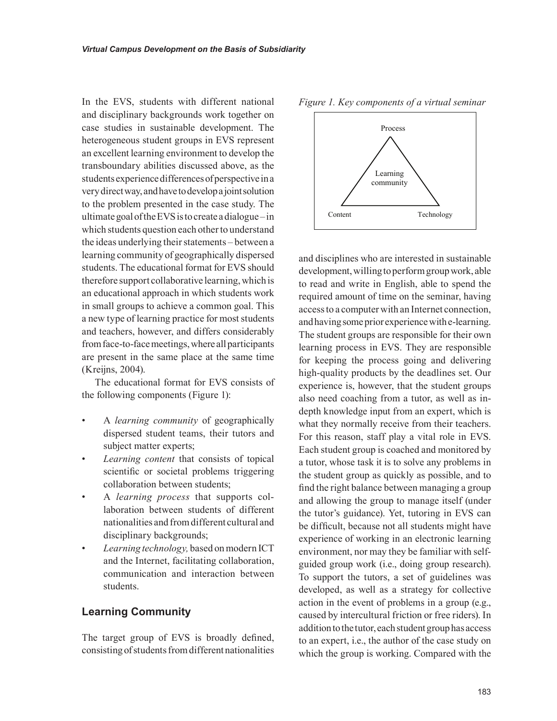In the EVS, students with different national and disciplinary backgrounds work together on case studies in sustainable development. The heterogeneous student groups in EVS represent an excellent learning environment to develop the transboundary abilities discussed above, as the students experience differences of perspective in a very direct way, and have to develop a joint solution to the problem presented in the case study. The ultimate goal of the EVS is to create a dialogue – in which students question each other to understand the ideas underlying their statements – between a learning community of geographically dispersed students. The educational format for EVS should therefore support collaborative learning, which is an educational approach in which students work in small groups to achieve a common goal. This a new type of learning practice for most students and teachers, however, and differs considerably from face-to-face meetings, where all participants are present in the same place at the same time (Kreijns, 2004).

The educational format for EVS consists of the following components (Figure 1):

- A *learning community* of geographically dispersed student teams, their tutors and subject matter experts;
- *Learning content* that consists of topical scientific or societal problems triggering collaboration between students;
- A *learning process* that supports collaboration between students of different nationalities and from different cultural and disciplinary backgrounds;
- *Learning technology,* based on modern ICT and the Internet, facilitating collaboration, communication and interaction between students.

#### **Learning Community**

The target group of EVS is broadly defined, consisting of students from different nationalities





and disciplines who are interested in sustainable development, willing to perform group work, able to read and write in English, able to spend the required amount of time on the seminar, having access to a computer with an Internet connection, and having some prior experience with e-learning. The student groups are responsible for their own learning process in EVS. They are responsible for keeping the process going and delivering high-quality products by the deadlines set. Our experience is, however, that the student groups also need coaching from a tutor, as well as indepth knowledge input from an expert, which is what they normally receive from their teachers. For this reason, staff play a vital role in EVS. Each student group is coached and monitored by a tutor, whose task it is to solve any problems in the student group as quickly as possible, and to find the right balance between managing a group and allowing the group to manage itself (under the tutor's guidance). Yet, tutoring in EVS can be difficult, because not all students might have experience of working in an electronic learning environment, nor may they be familiar with selfguided group work (i.e., doing group research). To support the tutors, a set of guidelines was developed, as well as a strategy for collective action in the event of problems in a group (e.g., caused by intercultural friction or free riders). In addition to the tutor, each student group has access to an expert, i.e., the author of the case study on which the group is working. Compared with the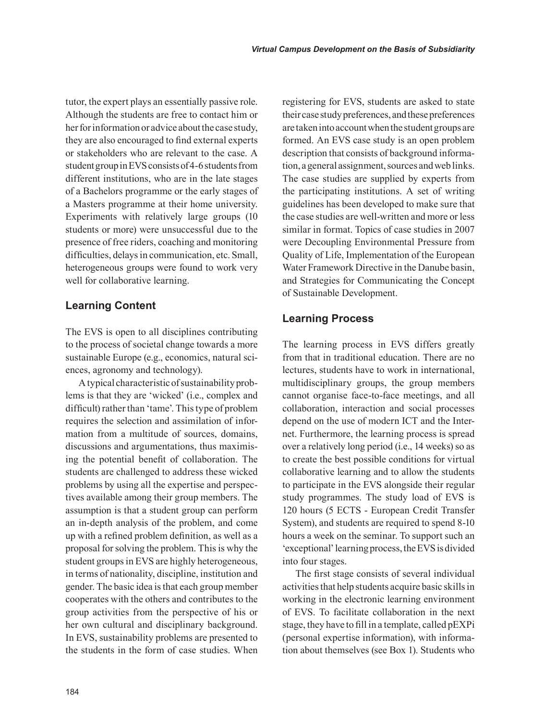tutor, the expert plays an essentially passive role. Although the students are free to contact him or her for information or advice about the case study, they are also encouraged to find external experts or stakeholders who are relevant to the case. A student group in EVS consists of 4-6 students from different institutions, who are in the late stages of a Bachelors programme or the early stages of a Masters programme at their home university. Experiments with relatively large groups (10 students or more) were unsuccessful due to the presence of free riders, coaching and monitoring difficulties, delays in communication, etc. Small, heterogeneous groups were found to work very well for collaborative learning.

#### **Learning Content**

The EVS is open to all disciplines contributing to the process of societal change towards a more sustainable Europe (e.g., economics, natural sciences, agronomy and technology).

A typical characteristic of sustainability problems is that they are 'wicked' (i.e., complex and difficult) rather than 'tame'. This type of problem requires the selection and assimilation of information from a multitude of sources, domains, discussions and argumentations, thus maximising the potential benefit of collaboration. The students are challenged to address these wicked problems by using all the expertise and perspectives available among their group members. The assumption is that a student group can perform an in-depth analysis of the problem, and come up with a refined problem definition, as well as a proposal for solving the problem. This is why the student groups in EVS are highly heterogeneous, in terms of nationality, discipline, institution and gender. The basic idea is that each group member cooperates with the others and contributes to the group activities from the perspective of his or her own cultural and disciplinary background. In EVS, sustainability problems are presented to the students in the form of case studies. When registering for EVS, students are asked to state their case study preferences, and these preferences are taken into account when the student groups are formed. An EVS case study is an open problem description that consists of background information, a general assignment, sources and web links. The case studies are supplied by experts from the participating institutions. A set of writing guidelines has been developed to make sure that the case studies are well-written and more or less similar in format. Topics of case studies in 2007 were Decoupling Environmental Pressure from Quality of Life, Implementation of the European Water Framework Directive in the Danube basin, and Strategies for Communicating the Concept of Sustainable Development.

### **Learning Process**

The learning process in EVS differs greatly from that in traditional education. There are no lectures, students have to work in international, multidisciplinary groups, the group members cannot organise face-to-face meetings, and all collaboration, interaction and social processes depend on the use of modern ICT and the Internet. Furthermore, the learning process is spread over a relatively long period (i.e., 14 weeks) so as to create the best possible conditions for virtual collaborative learning and to allow the students to participate in the EVS alongside their regular study programmes. The study load of EVS is 120 hours (5 ECTS - European Credit Transfer System), and students are required to spend 8-10 hours a week on the seminar. To support such an 'exceptional' learning process, the EVS is divided into four stages.

The first stage consists of several individual activities that help students acquire basic skills in working in the electronic learning environment of EVS. To facilitate collaboration in the next stage, they have to fill in a template, called pEXPi (personal expertise information), with information about themselves (see Box 1). Students who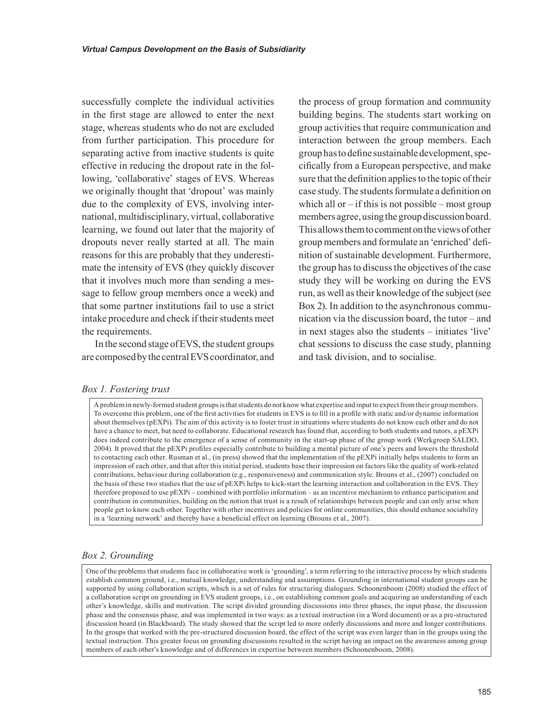successfully complete the individual activities in the first stage are allowed to enter the next stage, whereas students who do not are excluded from further participation. This procedure for separating active from inactive students is quite effective in reducing the dropout rate in the following, 'collaborative' stages of EVS. Whereas we originally thought that 'dropout' was mainly due to the complexity of EVS, involving international, multidisciplinary, virtual, collaborative learning, we found out later that the majority of dropouts never really started at all. The main reasons for this are probably that they underestimate the intensity of EVS (they quickly discover that it involves much more than sending a message to fellow group members once a week) and that some partner institutions fail to use a strict intake procedure and check if their students meet the requirements.

In the second stage of EVS, the student groups are composed by the central EVS coordinator, and

the process of group formation and community building begins. The students start working on group activities that require communication and interaction between the group members. Each group has to define sustainable development, specifically from a European perspective, and make sure that the definition applies to the topic of their case study. The students formulate a definition on which all or  $-$  if this is not possible – most group members agree, using the group discussion board. This allows them to comment on the views of other group members and formulate an 'enriched' definition of sustainable development. Furthermore, the group has to discuss the objectives of the case study they will be working on during the EVS run, as well as their knowledge of the subject (see Box 2). In addition to the asynchronous communication via the discussion board, the tutor – and in next stages also the students – initiates 'live' chat sessions to discuss the case study, planning and task division, and to socialise.

#### *Box 1. Fostering trust*

A problem in newly-formed student groups is that students do not know what expertise and input to expect from their group members. To overcome this problem, one of the first activities for students in EVS is to fill in a profile with static and/or dynamic information about themselves (pEXPi). The aim of this activity is to foster trust in situations where students do not know each other and do not have a chance to meet, but need to collaborate. Educational research has found that, according to both students and tutors, a pEXPi does indeed contribute to the emergence of a sense of community in the start-up phase of the group work (Werkgroep SALDO, 2004). It proved that the pEXPi profiles especially contribute to building a mental picture of one's peers and lowers the threshold to contacting each other. Rusman et al., (in press) showed that the implementation of the pEXPi initially helps students to form an impression of each other, and that after this initial period, students base their impression on factors like the quality of work-related contributions, behaviour during collaboration (e.g., responsiveness) and communication style. Brouns et al., (2007) concluded on the basis of these two studies that the use of pEXPi helps to kick-start the learning interaction and collaboration in the EVS. They therefore proposed to use pEXPi – combined with portfolio information – as an incentive mechanism to enhance participation and contribution in communities, building on the notion that trust is a result of relationships between people and can only arise when people get to know each other. Together with other incentives and policies for online communities, this should enhance sociability in a 'learning network' and thereby have a beneficial effect on learning (Brouns et al., 2007).

#### *Box 2. Grounding*

One of the problems that students face in collaborative work is 'grounding', a term referring to the interactive process by which students establish common ground, i.e., mutual knowledge, understanding and assumptions. Grounding in international student groups can be supported by using collaboration scripts, which is a set of rules for structuring dialogues. Schoonenboom (2008) studied the effect of a collaboration script on grounding in EVS student groups, i.e., on establishing common goals and acquiring an understanding of each other's knowledge, skills and motivation. The script divided grounding discussions into three phases, the input phase, the discussion phase and the consensus phase, and was implemented in two ways: as a textual instruction (in a Word document) or as a pre-structured discussion board (in Blackboard). The study showed that the script led to more orderly discussions and more and longer contributions. In the groups that worked with the pre-structured discussion board, the effect of the script was even larger than in the groups using the textual instruction. This greater focus on grounding discussions resulted in the script having an impact on the awareness among group members of each other's knowledge and of differences in expertise between members (Schoonenboom, 2008).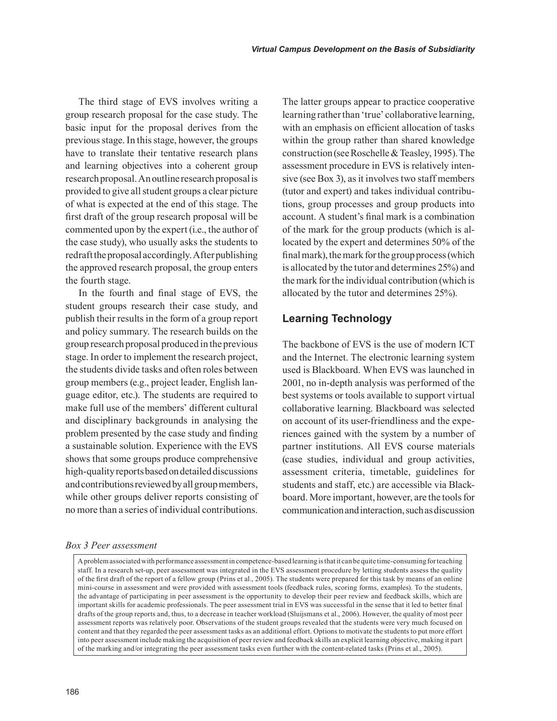The third stage of EVS involves writing a group research proposal for the case study. The basic input for the proposal derives from the previous stage. In this stage, however, the groups have to translate their tentative research plans and learning objectives into a coherent group research proposal. An outline research proposal is provided to give all student groups a clear picture of what is expected at the end of this stage. The first draft of the group research proposal will be commented upon by the expert (i.e., the author of the case study), who usually asks the students to redraft the proposal accordingly. After publishing the approved research proposal, the group enters the fourth stage.

In the fourth and final stage of EVS, the student groups research their case study, and publish their results in the form of a group report and policy summary. The research builds on the group research proposal produced in the previous stage. In order to implement the research project, the students divide tasks and often roles between group members (e.g., project leader, English language editor, etc.). The students are required to make full use of the members' different cultural and disciplinary backgrounds in analysing the problem presented by the case study and finding a sustainable solution. Experience with the EVS shows that some groups produce comprehensive high-quality reports based on detailed discussions and contributions reviewed by all group members, while other groups deliver reports consisting of no more than a series of individual contributions.

*Box 3 Peer assessment*

The latter groups appear to practice cooperative learning rather than 'true' collaborative learning, with an emphasis on efficient allocation of tasks within the group rather than shared knowledge construction (see Roschelle & Teasley, 1995). The assessment procedure in EVS is relatively intensive (see Box 3), as it involves two staff members (tutor and expert) and takes individual contributions, group processes and group products into account. A student's final mark is a combination of the mark for the group products (which is allocated by the expert and determines 50% of the final mark), the mark for the group process (which is allocated by the tutor and determines 25%) and the mark for the individual contribution (which is allocated by the tutor and determines 25%).

#### **Learning Technology**

The backbone of EVS is the use of modern ICT and the Internet. The electronic learning system used is Blackboard. When EVS was launched in 2001, no in-depth analysis was performed of the best systems or tools available to support virtual collaborative learning. Blackboard was selected on account of its user-friendliness and the experiences gained with the system by a number of partner institutions. All EVS course materials (case studies, individual and group activities, assessment criteria, timetable, guidelines for students and staff, etc.) are accessible via Blackboard. More important, however, are the tools for communication and interaction, such as discussion

A problem associated with performance assessment in competence-based learning is that it can be quite time-consuming for teaching staff. In a research set-up, peer assessment was integrated in the EVS assessment procedure by letting students assess the quality of the first draft of the report of a fellow group (Prins et al., 2005). The students were prepared for this task by means of an online mini-course in assessment and were provided with assessment tools (feedback rules, scoring forms, examples). To the students, the advantage of participating in peer assessment is the opportunity to develop their peer review and feedback skills, which are important skills for academic professionals. The peer assessment trial in EVS was successful in the sense that it led to better final drafts of the group reports and, thus, to a decrease in teacher workload (Sluijsmans et al., 2006). However, the quality of most peer assessment reports was relatively poor. Observations of the student groups revealed that the students were very much focused on content and that they regarded the peer assessment tasks as an additional effort. Options to motivate the students to put more effort into peer assessment include making the acquisition of peer review and feedback skills an explicit learning objective, making it part of the marking and/or integrating the peer assessment tasks even further with the content-related tasks (Prins et al., 2005).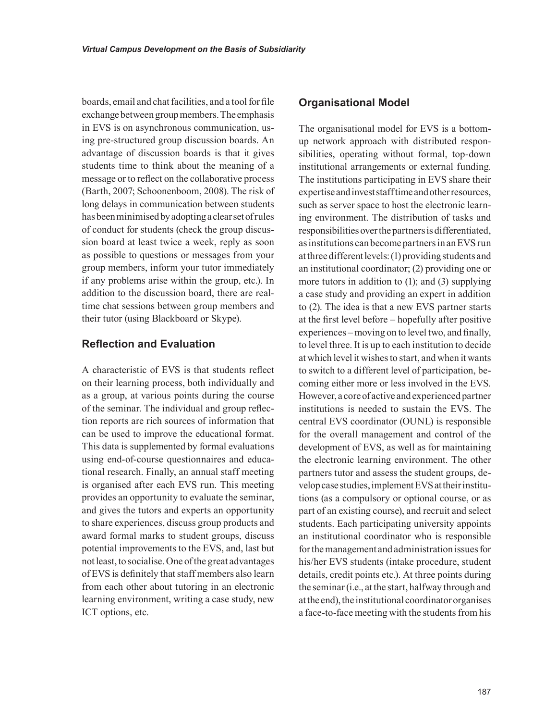boards, email and chat facilities, and a tool for file exchange between group members. The emphasis in EVS is on asynchronous communication, using pre-structured group discussion boards. An advantage of discussion boards is that it gives students time to think about the meaning of a message or to reflect on the collaborative process (Barth, 2007; Schoonenboom, 2008). The risk of long delays in communication between students has been minimised by adopting a clear set of rules of conduct for students (check the group discussion board at least twice a week, reply as soon as possible to questions or messages from your group members, inform your tutor immediately if any problems arise within the group, etc.). In addition to the discussion board, there are realtime chat sessions between group members and their tutor (using Blackboard or Skype).

#### **Reflection and Evaluation**

A characteristic of EVS is that students reflect on their learning process, both individually and as a group, at various points during the course of the seminar. The individual and group reflection reports are rich sources of information that can be used to improve the educational format. This data is supplemented by formal evaluations using end-of-course questionnaires and educational research. Finally, an annual staff meeting is organised after each EVS run. This meeting provides an opportunity to evaluate the seminar, and gives the tutors and experts an opportunity to share experiences, discuss group products and award formal marks to student groups, discuss potential improvements to the EVS, and, last but not least, to socialise. One of the great advantages of EVS is definitely that staff members also learn from each other about tutoring in an electronic learning environment, writing a case study, new ICT options, etc.

#### **Organisational Model**

The organisational model for EVS is a bottomup network approach with distributed responsibilities, operating without formal, top-down institutional arrangements or external funding. The institutions participating in EVS share their expertise and invest staff time and other resources, such as server space to host the electronic learning environment. The distribution of tasks and responsibilities over the partners is differentiated, as institutions can become partners in an EVS run at three different levels: (1) providing students and an institutional coordinator; (2) providing one or more tutors in addition to (1); and (3) supplying a case study and providing an expert in addition to (2). The idea is that a new EVS partner starts at the first level before – hopefully after positive experiences – moving on to level two, and finally, to level three. It is up to each institution to decide at which level it wishes to start, and when it wants to switch to a different level of participation, becoming either more or less involved in the EVS. However, a core of active and experienced partner institutions is needed to sustain the EVS. The central EVS coordinator (OUNL) is responsible for the overall management and control of the development of EVS, as well as for maintaining the electronic learning environment. The other partners tutor and assess the student groups, develop case studies, implement EVS at their institutions (as a compulsory or optional course, or as part of an existing course), and recruit and select students. Each participating university appoints an institutional coordinator who is responsible for the management and administration issues for his/her EVS students (intake procedure, student details, credit points etc.). At three points during the seminar (i.e., at the start, halfway through and at the end), the institutional coordinator organises a face-to-face meeting with the students from his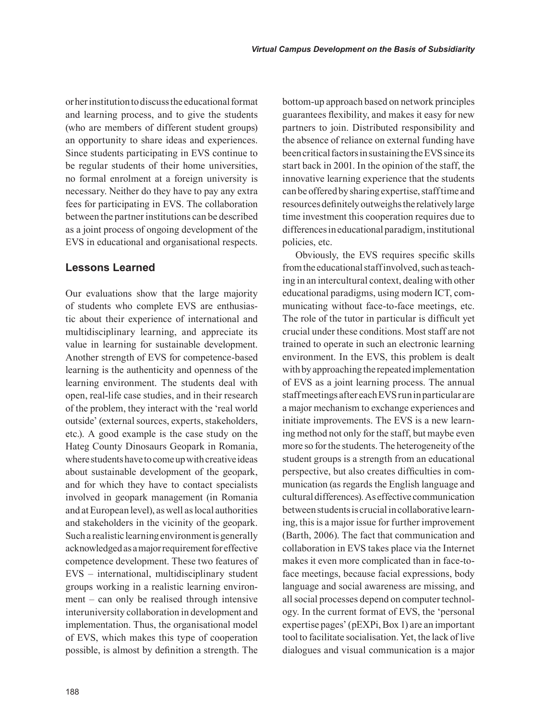or her institution to discuss the educational format and learning process, and to give the students (who are members of different student groups) an opportunity to share ideas and experiences. Since students participating in EVS continue to be regular students of their home universities, no formal enrolment at a foreign university is necessary. Neither do they have to pay any extra fees for participating in EVS. The collaboration between the partner institutions can be described as a joint process of ongoing development of the EVS in educational and organisational respects.

#### **Lessons Learned**

Our evaluations show that the large majority of students who complete EVS are enthusiastic about their experience of international and multidisciplinary learning, and appreciate its value in learning for sustainable development. Another strength of EVS for competence-based learning is the authenticity and openness of the learning environment. The students deal with open, real-life case studies, and in their research of the problem, they interact with the 'real world outside' (external sources, experts, stakeholders, etc.). A good example is the case study on the Hateg County Dinosaurs Geopark in Romania, where students have to come up with creative ideas about sustainable development of the geopark, and for which they have to contact specialists involved in geopark management (in Romania and at European level), as well as local authorities and stakeholders in the vicinity of the geopark. Such a realistic learning environment is generally acknowledged as a major requirement for effective competence development. These two features of EVS – international, multidisciplinary student groups working in a realistic learning environment – can only be realised through intensive interuniversity collaboration in development and implementation. Thus, the organisational model of EVS, which makes this type of cooperation possible, is almost by definition a strength. The bottom-up approach based on network principles guarantees flexibility, and makes it easy for new partners to join. Distributed responsibility and the absence of reliance on external funding have been critical factors in sustaining the EVS since its start back in 2001. In the opinion of the staff, the innovative learning experience that the students can be offered by sharing expertise, staff time and resources definitely outweighs the relatively large time investment this cooperation requires due to differences in educational paradigm, institutional policies, etc.

Obviously, the EVS requires specific skills from the educational staff involved, such as teaching in an intercultural context, dealing with other educational paradigms, using modern ICT, communicating without face-to-face meetings, etc. The role of the tutor in particular is difficult yet crucial under these conditions. Most staff are not trained to operate in such an electronic learning environment. In the EVS, this problem is dealt with by approaching the repeated implementation of EVS as a joint learning process. The annual staff meetings after each EVS run in particular are a major mechanism to exchange experiences and initiate improvements. The EVS is a new learning method not only for the staff, but maybe even more so for the students. The heterogeneity of the student groups is a strength from an educational perspective, but also creates difficulties in communication (as regards the English language and cultural differences). As effective communication between students is crucial in collaborative learning, this is a major issue for further improvement (Barth, 2006). The fact that communication and collaboration in EVS takes place via the Internet makes it even more complicated than in face-toface meetings, because facial expressions, body language and social awareness are missing, and all social processes depend on computer technology. In the current format of EVS, the 'personal expertise pages' (pEXPi, Box 1) are an important tool to facilitate socialisation. Yet, the lack of live dialogues and visual communication is a major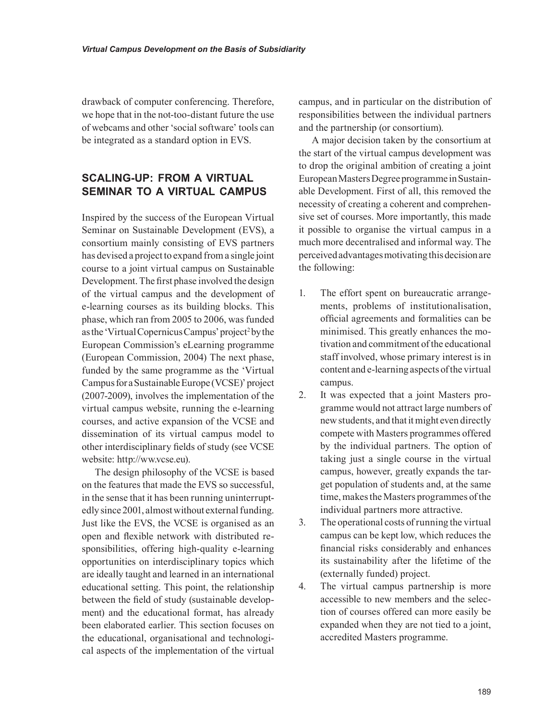drawback of computer conferencing. Therefore, we hope that in the not-too-distant future the use of webcams and other 'social software' tools can be integrated as a standard option in EVS.

### **Scaling-up: from a virtual seminar to a virtual campus**

Inspired by the success of the European Virtual Seminar on Sustainable Development (EVS), a consortium mainly consisting of EVS partners has devised a project to expand from a single joint course to a joint virtual campus on Sustainable Development. The first phase involved the design of the virtual campus and the development of e-learning courses as its building blocks. This phase, which ran from 2005 to 2006, was funded as the 'Virtual Copernicus Campus' project<sup>2</sup> by the European Commission's eLearning programme (European Commission, 2004) The next phase, funded by the same programme as the 'Virtual Campus for a Sustainable Europe (VCSE)' project (2007-2009), involves the implementation of the virtual campus website, running the e-learning courses, and active expansion of the VCSE and dissemination of its virtual campus model to other interdisciplinary fields of study (see VCSE website: http://ww.vcse.eu).

The design philosophy of the VCSE is based on the features that made the EVS so successful, in the sense that it has been running uninterruptedly since 2001, almost without external funding. Just like the EVS, the VCSE is organised as an open and flexible network with distributed responsibilities, offering high-quality e-learning opportunities on interdisciplinary topics which are ideally taught and learned in an international educational setting. This point, the relationship between the field of study (sustainable development) and the educational format, has already been elaborated earlier. This section focuses on the educational, organisational and technological aspects of the implementation of the virtual campus, and in particular on the distribution of responsibilities between the individual partners and the partnership (or consortium).

A major decision taken by the consortium at the start of the virtual campus development was to drop the original ambition of creating a joint European Masters Degree programme in Sustainable Development. First of all, this removed the necessity of creating a coherent and comprehensive set of courses. More importantly, this made it possible to organise the virtual campus in a much more decentralised and informal way. The perceived advantages motivating this decision are the following:

- 1. The effort spent on bureaucratic arrangements, problems of institutionalisation, official agreements and formalities can be minimised. This greatly enhances the motivation and commitment of the educational staff involved, whose primary interest is in content and e-learning aspects of the virtual campus.
- 2. It was expected that a joint Masters programme would not attract large numbers of new students, and that it might even directly compete with Masters programmes offered by the individual partners. The option of taking just a single course in the virtual campus, however, greatly expands the target population of students and, at the same time, makes the Masters programmes of the individual partners more attractive.
- 3. The operational costs of running the virtual campus can be kept low, which reduces the financial risks considerably and enhances its sustainability after the lifetime of the (externally funded) project.
- 4. The virtual campus partnership is more accessible to new members and the selection of courses offered can more easily be expanded when they are not tied to a joint, accredited Masters programme.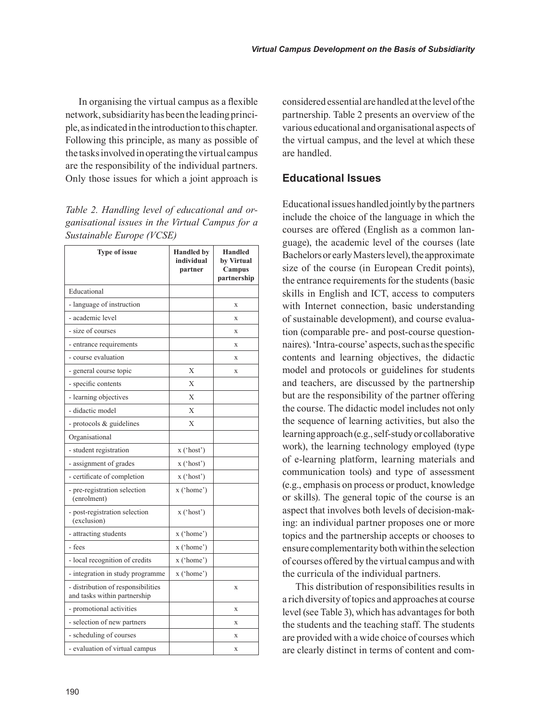In organising the virtual campus as a flexible network, subsidiarity has been the leading principle, as indicated in the introduction to this chapter. Following this principle, as many as possible of the tasks involved in operating the virtual campus are the responsibility of the individual partners. Only those issues for which a joint approach is

| Table 2. Handling level of educational and or-  |
|-------------------------------------------------|
| ganisational issues in the Virtual Campus for a |
| Sustainable Europe (VCSE)                       |

| <b>Type of issue</b>                                               | <b>Handled by</b><br>individual<br>partner | <b>Handled</b><br>by Virtual<br>Campus<br>partnership |
|--------------------------------------------------------------------|--------------------------------------------|-------------------------------------------------------|
| Educational                                                        |                                            |                                                       |
| - language of instruction                                          |                                            | X                                                     |
| - academic level                                                   |                                            | X                                                     |
| - size of courses                                                  |                                            | X                                                     |
| - entrance requirements                                            |                                            | X                                                     |
| - course evaluation                                                |                                            | X                                                     |
| - general course topic                                             | Х                                          | X                                                     |
| - specific contents                                                | Х                                          |                                                       |
| - learning objectives                                              | X                                          |                                                       |
| - didactic model                                                   | Х                                          |                                                       |
| - protocols & guidelines                                           | X                                          |                                                       |
| Organisational                                                     |                                            |                                                       |
| - student registration                                             | $x$ ('host')                               |                                                       |
| - assignment of grades                                             | $x$ ('host')                               |                                                       |
| - certificate of completion                                        | $x$ ('host')                               |                                                       |
| - pre-registration selection<br>(enrolment)                        | $x$ ('home')                               |                                                       |
| - post-registration selection<br>(exclusion)                       | $x$ ('host')                               |                                                       |
| - attracting students                                              | $x$ ('home')                               |                                                       |
| - fees                                                             | x ('home')                                 |                                                       |
| - local recognition of credits                                     | $x$ ('home')                               |                                                       |
| - integration in study programme                                   | $x$ ('home')                               |                                                       |
| - distribution of responsibilities<br>and tasks within partnership |                                            | X                                                     |
| - promotional activities                                           |                                            | X                                                     |
| - selection of new partners                                        |                                            | X                                                     |
| - scheduling of courses                                            |                                            | X                                                     |
| - evaluation of virtual campus                                     |                                            | X                                                     |

considered essential are handled at the level of the partnership. Table 2 presents an overview of the various educational and organisational aspects of the virtual campus, and the level at which these are handled.

#### **Educational Issues**

Educational issues handled jointly by the partners include the choice of the language in which the courses are offered (English as a common language), the academic level of the courses (late Bachelors or early Masters level), the approximate size of the course (in European Credit points), the entrance requirements for the students (basic skills in English and ICT, access to computers with Internet connection, basic understanding of sustainable development), and course evaluation (comparable pre- and post-course questionnaires). 'Intra-course' aspects, such as the specific contents and learning objectives, the didactic model and protocols or guidelines for students and teachers, are discussed by the partnership but are the responsibility of the partner offering the course. The didactic model includes not only the sequence of learning activities, but also the learning approach (e.g., self-study or collaborative work), the learning technology employed (type of e-learning platform, learning materials and communication tools) and type of assessment (e.g., emphasis on process or product, knowledge or skills). The general topic of the course is an aspect that involves both levels of decision-making: an individual partner proposes one or more topics and the partnership accepts or chooses to ensure complementarity both within the selection of courses offered by the virtual campus and with the curricula of the individual partners.

This distribution of responsibilities results in a rich diversity of topics and approaches at course level (see Table 3), which has advantages for both the students and the teaching staff. The students are provided with a wide choice of courses which are clearly distinct in terms of content and com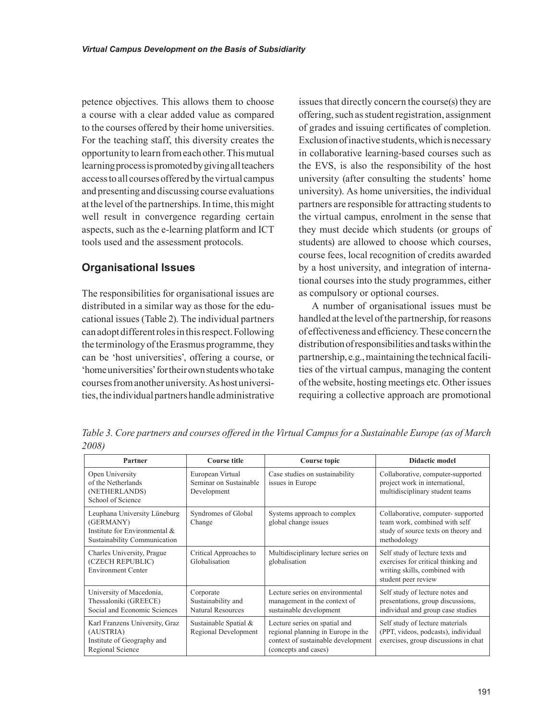petence objectives. This allows them to choose a course with a clear added value as compared to the courses offered by their home universities. For the teaching staff, this diversity creates the opportunity to learn from each other. This mutual learning process is promoted by giving all teachers access to all courses offered by the virtual campus and presenting and discussing course evaluations at the level of the partnerships. In time, this might well result in convergence regarding certain aspects, such as the e-learning platform and ICT tools used and the assessment protocols.

#### **Organisational Issues**

The responsibilities for organisational issues are distributed in a similar way as those for the educational issues (Table 2). The individual partners can adopt different roles in this respect. Following the terminology of the Erasmus programme, they can be 'host universities', offering a course, or 'home universities' for their own students who take courses from another university. As host universities, the individual partners handle administrative issues that directly concern the course(s) they are offering, such as student registration, assignment of grades and issuing certificates of completion. Exclusion of inactive students, which is necessary in collaborative learning-based courses such as the EVS, is also the responsibility of the host university (after consulting the students' home university). As home universities, the individual partners are responsible for attracting students to the virtual campus, enrolment in the sense that they must decide which students (or groups of students) are allowed to choose which courses, course fees, local recognition of credits awarded by a host university, and integration of international courses into the study programmes, either as compulsory or optional courses.

A number of organisational issues must be handled at the level of the partnership, for reasons of effectiveness and efficiency. These concern the distribution of responsibilities and tasks within the partnership, e.g., maintaining the technical facilities of the virtual campus, managing the content of the website, hosting meetings etc. Other issues requiring a collective approach are promotional

*Table 3. Core partners and courses offered in the Virtual Campus for a Sustainable Europe (as of March 2008)*

| Partner                                                                                                    | <b>Course title</b>                                         | Course topic                                                                                                                      | <b>Didactic model</b>                                                                                                          |
|------------------------------------------------------------------------------------------------------------|-------------------------------------------------------------|-----------------------------------------------------------------------------------------------------------------------------------|--------------------------------------------------------------------------------------------------------------------------------|
| Open University<br>of the Netherlands<br>(NETHERLANDS)<br>School of Science                                | European Virtual<br>Seminar on Sustainable<br>Development   | Case studies on sustainability<br>issues in Europe                                                                                | Collaborative, computer-supported<br>project work in international,<br>multidisciplinary student teams                         |
| Leuphana University Lüneburg<br>(GERMANY)<br>Institute for Environmental &<br>Sustainability Communication | Syndromes of Global<br>Change                               | Systems approach to complex<br>global change issues                                                                               | Collaborative, computer-supported<br>team work, combined with self<br>study of source texts on theory and<br>methodology       |
| Charles University, Prague<br>(CZECH REPUBLIC)<br><b>Environment Center</b>                                | Critical Approaches to<br>Globalisation                     | Multidisciplinary lecture series on<br>globalisation                                                                              | Self study of lecture texts and<br>exercises for critical thinking and<br>writing skills, combined with<br>student peer review |
| University of Macedonia,<br>Thessaloniki (GREECE)<br>Social and Economic Sciences                          | Corporate<br>Sustainability and<br><b>Natural Resources</b> | Lecture series on environmental<br>management in the context of<br>sustainable development                                        | Self study of lecture notes and<br>presentations, group discussions,<br>individual and group case studies                      |
| Karl Franzens University, Graz<br>(AUSTRIA)<br>Institute of Geography and<br>Regional Science              | Sustainable Spatial &<br>Regional Development               | Lecture series on spatial and<br>regional planning in Europe in the<br>context of sustainable development<br>(concepts and cases) | Self study of lecture materials<br>(PPT, videos, podcasts), individual<br>exercises, group discussions in chat                 |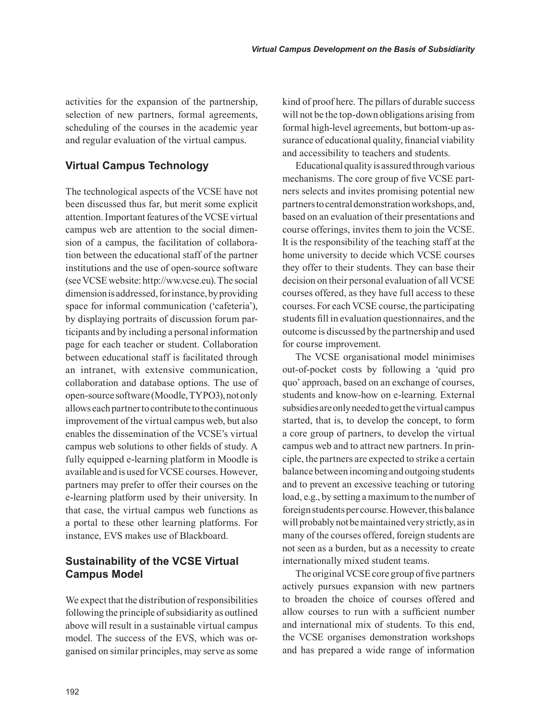activities for the expansion of the partnership, selection of new partners, formal agreements, scheduling of the courses in the academic year and regular evaluation of the virtual campus.

## **Virtual Campus Technology**

The technological aspects of the VCSE have not been discussed thus far, but merit some explicit attention. Important features of the VCSE virtual campus web are attention to the social dimension of a campus, the facilitation of collaboration between the educational staff of the partner institutions and the use of open-source software (see VCSE website: http://ww.vcse.eu). The social dimension is addressed, for instance, by providing space for informal communication ('cafeteria'), by displaying portraits of discussion forum participants and by including a personal information page for each teacher or student. Collaboration between educational staff is facilitated through an intranet, with extensive communication, collaboration and database options. The use of open-source software (Moodle, TYPO3), not only allows each partner to contribute to the continuous improvement of the virtual campus web, but also enables the dissemination of the VCSE's virtual campus web solutions to other fields of study. A fully equipped e-learning platform in Moodle is available and is used for VCSE courses. However, partners may prefer to offer their courses on the e-learning platform used by their university. In that case, the virtual campus web functions as a portal to these other learning platforms. For instance, EVS makes use of Blackboard.

## **Sustainability of the VCSE Virtual Campus Model**

We expect that the distribution of responsibilities following the principle of subsidiarity as outlined above will result in a sustainable virtual campus model. The success of the EVS, which was organised on similar principles, may serve as some kind of proof here. The pillars of durable success will not be the top-down obligations arising from formal high-level agreements, but bottom-up assurance of educational quality, financial viability and accessibility to teachers and students.

Educational quality is assured through various mechanisms. The core group of five VCSE partners selects and invites promising potential new partners to central demonstration workshops, and, based on an evaluation of their presentations and course offerings, invites them to join the VCSE. It is the responsibility of the teaching staff at the home university to decide which VCSE courses they offer to their students. They can base their decision on their personal evaluation of all VCSE courses offered, as they have full access to these courses. For each VCSE course, the participating students fill in evaluation questionnaires, and the outcome is discussed by the partnership and used for course improvement.

The VCSE organisational model minimises out-of-pocket costs by following a 'quid pro quo' approach, based on an exchange of courses, students and know-how on e-learning. External subsidies are only needed to get the virtual campus started, that is, to develop the concept, to form a core group of partners, to develop the virtual campus web and to attract new partners. In principle, the partners are expected to strike a certain balance between incoming and outgoing students and to prevent an excessive teaching or tutoring load, e.g., by setting a maximum to the number of foreign students per course. However, this balance will probably not be maintained very strictly, as in many of the courses offered, foreign students are not seen as a burden, but as a necessity to create internationally mixed student teams.

The original VCSE core group of five partners actively pursues expansion with new partners to broaden the choice of courses offered and allow courses to run with a sufficient number and international mix of students. To this end, the VCSE organises demonstration workshops and has prepared a wide range of information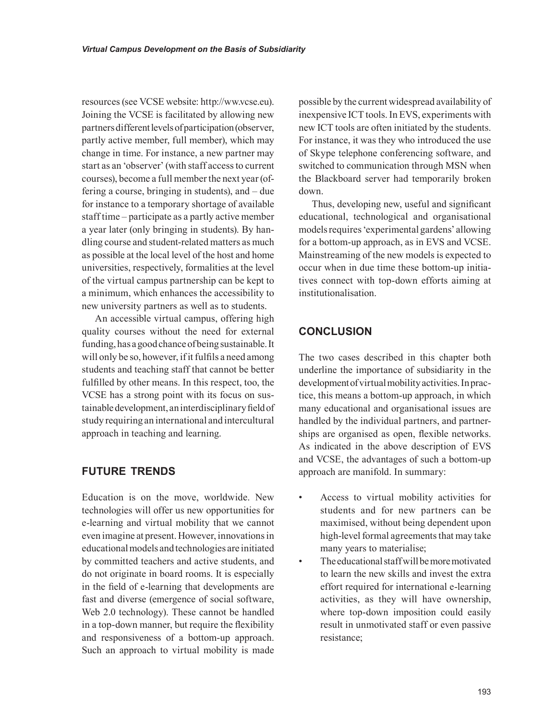resources (see VCSE website: http://ww.vcse.eu). Joining the VCSE is facilitated by allowing new partners different levels of participation (observer, partly active member, full member), which may change in time. For instance, a new partner may start as an 'observer' (with staff access to current courses), become a full member the next year (offering a course, bringing in students), and – due for instance to a temporary shortage of available staff time – participate as a partly active member a year later (only bringing in students). By handling course and student-related matters as much as possible at the local level of the host and home universities, respectively, formalities at the level of the virtual campus partnership can be kept to a minimum, which enhances the accessibility to new university partners as well as to students.

An accessible virtual campus, offering high quality courses without the need for external funding, has a good chance of being sustainable. It will only be so, however, if it fulfils a need among students and teaching staff that cannot be better fulfilled by other means. In this respect, too, the VCSE has a strong point with its focus on sustainable development, an interdisciplinary field of study requiring an international and intercultural approach in teaching and learning.

#### **Future trends**

Education is on the move, worldwide. New technologies will offer us new opportunities for e-learning and virtual mobility that we cannot even imagine at present. However, innovations in educational models and technologies are initiated by committed teachers and active students, and do not originate in board rooms. It is especially in the field of e-learning that developments are fast and diverse (emergence of social software, Web 2.0 technology). These cannot be handled in a top-down manner, but require the flexibility and responsiveness of a bottom-up approach. Such an approach to virtual mobility is made

possible by the current widespread availability of inexpensive ICT tools. In EVS, experiments with new ICT tools are often initiated by the students. For instance, it was they who introduced the use of Skype telephone conferencing software, and switched to communication through MSN when the Blackboard server had temporarily broken down.

Thus, developing new, useful and significant educational, technological and organisational models requires 'experimental gardens' allowing for a bottom-up approach, as in EVS and VCSE. Mainstreaming of the new models is expected to occur when in due time these bottom-up initiatives connect with top-down efforts aiming at institutionalisation.

#### **Conclusion**

The two cases described in this chapter both underline the importance of subsidiarity in the development of virtual mobility activities. In practice, this means a bottom-up approach, in which many educational and organisational issues are handled by the individual partners, and partnerships are organised as open, flexible networks. As indicated in the above description of EVS and VCSE, the advantages of such a bottom-up approach are manifold. In summary:

- Access to virtual mobility activities for students and for new partners can be maximised, without being dependent upon high-level formal agreements that may take many years to materialise;
- The educational staff will be more motivated to learn the new skills and invest the extra effort required for international e-learning activities, as they will have ownership, where top-down imposition could easily result in unmotivated staff or even passive resistance;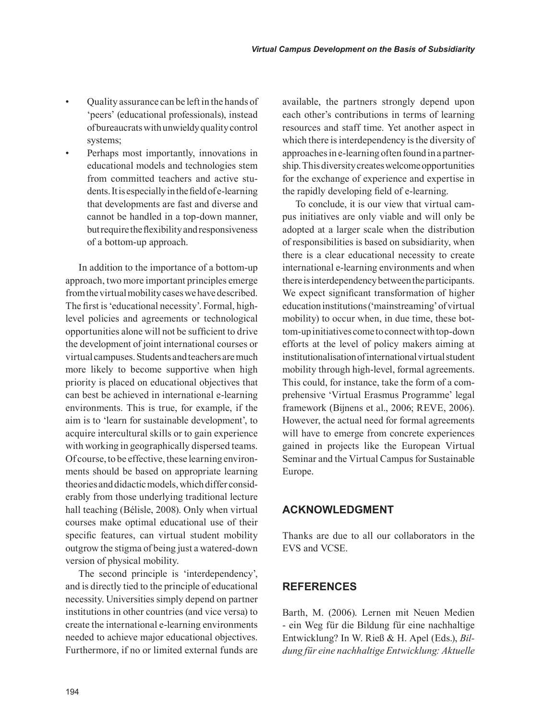- Quality assurance can be left in the hands of 'peers' (educational professionals), instead of bureaucrats with unwieldy quality control systems;
- Perhaps most importantly, innovations in educational models and technologies stem from committed teachers and active students. It is especially in the field of e-learning that developments are fast and diverse and cannot be handled in a top-down manner, but require the flexibility and responsiveness of a bottom-up approach.

In addition to the importance of a bottom-up approach, two more important principles emerge from the virtual mobility cases we have described. The first is 'educational necessity'. Formal, highlevel policies and agreements or technological opportunities alone will not be sufficient to drive the development of joint international courses or virtual campuses. Students and teachers are much more likely to become supportive when high priority is placed on educational objectives that can best be achieved in international e-learning environments. This is true, for example, if the aim is to 'learn for sustainable development', to acquire intercultural skills or to gain experience with working in geographically dispersed teams. Of course, to be effective, these learning environments should be based on appropriate learning theories and didactic models, which differ considerably from those underlying traditional lecture hall teaching (Bélisle, 2008). Only when virtual courses make optimal educational use of their specific features, can virtual student mobility outgrow the stigma of being just a watered-down version of physical mobility.

The second principle is 'interdependency', and is directly tied to the principle of educational necessity. Universities simply depend on partner institutions in other countries (and vice versa) to create the international e-learning environments needed to achieve major educational objectives. Furthermore, if no or limited external funds are available, the partners strongly depend upon each other's contributions in terms of learning resources and staff time. Yet another aspect in which there is interdependency is the diversity of approaches in e-learning often found in a partnership. This diversity creates welcome opportunities for the exchange of experience and expertise in the rapidly developing field of e-learning.

To conclude, it is our view that virtual campus initiatives are only viable and will only be adopted at a larger scale when the distribution of responsibilities is based on subsidiarity, when there is a clear educational necessity to create international e-learning environments and when there is interdependency between the participants. We expect significant transformation of higher education institutions ('mainstreaming' of virtual mobility) to occur when, in due time, these bottom-up initiatives come to connect with top-down efforts at the level of policy makers aiming at institutionalisation of international virtual student mobility through high-level, formal agreements. This could, for instance, take the form of a comprehensive 'Virtual Erasmus Programme' legal framework (Bijnens et al., 2006; REVE, 2006). However, the actual need for formal agreements will have to emerge from concrete experiences gained in projects like the European Virtual Seminar and the Virtual Campus for Sustainable Europe.

#### **ACKNOWLEDGMENT**

Thanks are due to all our collaborators in the EVS and VCSE.

#### **References**

Barth, M. (2006). Lernen mit Neuen Medien - ein Weg für die Bildung für eine nachhaltige Entwicklung? In W. Rieß & H. Apel (Eds.), *Bildung für eine nachhaltige Entwicklung: Aktuelle*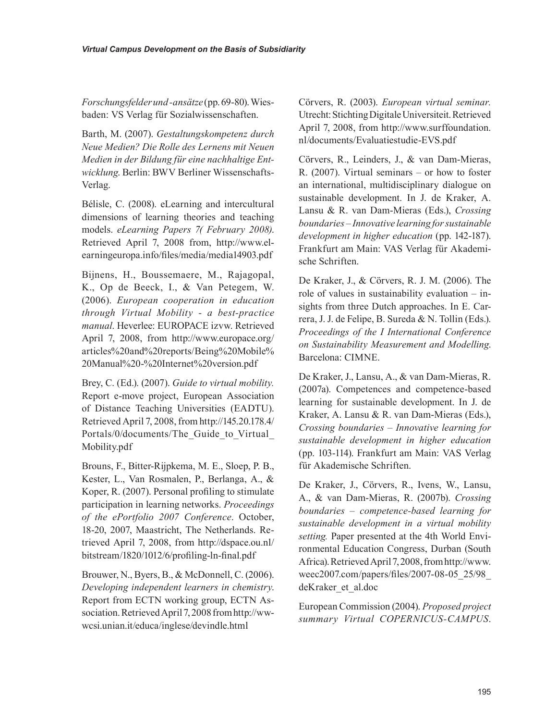*Forschungsfelder und -ansätze* (pp. 69-80). Wiesbaden: VS Verlag für Sozialwissenschaften.

Barth, M. (2007). *Gestaltungskompetenz durch Neue Medien? Die Rolle des Lernens mit Neuen Medien in der Bildung für eine nachhaltige Entwicklung*. Berlin: BWV Berliner Wissenschafts-Verlag.

Bélisle, C. (2008). eLearning and intercultural dimensions of learning theories and teaching models. *eLearning Papers 7( February 2008)*. Retrieved April 7, 2008 from, http://www.elearningeuropa.info/files/media/media14903.pdf

Bijnens, H., Boussemaere, M., Rajagopal, K., Op de Beeck, I., & Van Petegem, W. (2006). *European cooperation in education through Virtual Mobility - a best-practice manual*. Heverlee: EUROPACE izvw. Retrieved April 7, 2008, from http://www.europace.org/ articles%20and%20reports/Being%20Mobile% 20Manual%20-%20Internet%20version.pdf

Brey, C. (Ed.). (2007). *Guide to virtual mobility.* Report e-move project, European Association of Distance Teaching Universities (EADTU). Retrieved April 7, 2008, from http://145.20.178.4/ Portals/0/documents/The\_Guide\_to\_Virtual\_ Mobility.pdf

Brouns, F., Bitter-Rijpkema, M. E., Sloep, P. B., Kester, L., Van Rosmalen, P., Berlanga, A., & Koper, R. (2007). Personal profiling to stimulate participation in learning networks. *Proceedings of the ePortfolio 2007 Conference*. October, 18-20, 2007, Maastricht, The Netherlands. Retrieved April 7, 2008, from http://dspace.ou.nl/ bitstream/1820/1012/6/profiling-ln-final.pdf

Brouwer, N., Byers, B., & McDonnell, C. (2006). *Developing independent learners in chemistry*. Report from ECTN working group, ECTN Association. Retrieved April 7, 2008 from http://wwwcsi.unian.it/educa/inglese/devindle.html

Cörvers, R. (2003). *European virtual seminar.* Utrecht: Stichting Digitale Universiteit. Retrieved April 7, 2008, from http://www.surffoundation. nl/documents/Evaluatiestudie-EVS.pdf

Cörvers, R., Leinders, J., & van Dam-Mieras, R. (2007). Virtual seminars – or how to foster an international, multidisciplinary dialogue on sustainable development. In J. de Kraker, A. Lansu & R. van Dam-Mieras (Eds.), *Crossing boundaries – Innovative learning for sustainable development in higher education* (pp. 142-187). Frankfurt am Main: VAS Verlag für Akademische Schriften.

De Kraker, J., & Cörvers, R. J. M. (2006). The role of values in sustainability evaluation – insights from three Dutch approaches. In E. Carrera, J. J. de Felipe, B. Sureda & N. Tollin (Eds.). *Proceedings of the I International Conference on Sustainability Measurement and Modelling*. Barcelona: CIMNE.

De Kraker, J., Lansu, A., & van Dam-Mieras, R. (2007a). Competences and competence-based learning for sustainable development. In J. de Kraker, A. Lansu & R. van Dam-Mieras (Eds.), *Crossing boundaries – Innovative learning for sustainable development in higher education* (pp. 103-114). Frankfurt am Main: VAS Verlag für Akademische Schriften.

De Kraker, J., Cörvers, R., Ivens, W., Lansu, A., & van Dam-Mieras, R. (2007b). *Crossing boundaries – competence-based learning for sustainable development in a virtual mobility setting.* Paper presented at the 4th World Environmental Education Congress, Durban (South Africa). Retrieved April 7, 2008, from http://www. weec2007.com/papers/files/2007-08-05\_25/98\_ deKraker\_et\_al.doc

European Commission (2004). *Proposed project summary Virtual COPERNICUS-CAMPUS*.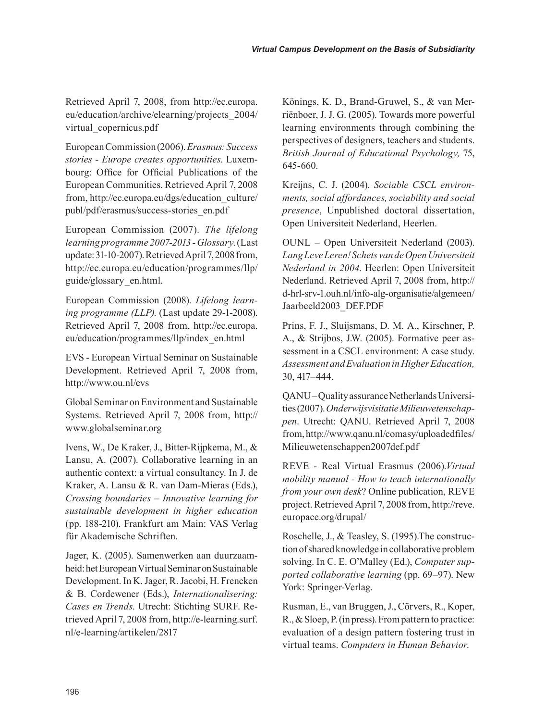Retrieved April 7, 2008, from http://ec.europa. eu/education/archive/elearning/projects\_2004/ virtual\_copernicus.pdf

European Commission (2006). *Erasmus: Success stories - Europe creates opportunities*. Luxembourg: Office for Official Publications of the European Communities. Retrieved April 7, 2008 from, http://ec.europa.eu/dgs/education\_culture/ publ/pdf/erasmus/success-stories\_en.pdf

European Commission (2007). *The lifelong learning programme 2007-2013 - Glossary*. (Last update: 31-10-2007). Retrieved April 7, 2008 from, http://ec.europa.eu/education/programmes/llp/ guide/glossary\_en.html.

European Commission (2008). *Lifelong learning programme (LLP)*. (Last update 29-1-2008). Retrieved April 7, 2008 from, http://ec.europa. eu/education/programmes/llp/index\_en.html

EVS - European Virtual Seminar on Sustainable Development. Retrieved April 7, 2008 from, http://www.ou.nl/evs

Global Seminar on Environment and Sustainable Systems. Retrieved April 7, 2008 from, http:// www.globalseminar.org

Ivens, W., De Kraker, J., Bitter-Rijpkema, M., & Lansu, A. (2007). Collaborative learning in an authentic context: a virtual consultancy. In J. de Kraker, A. Lansu & R. van Dam-Mieras (Eds.), *Crossing boundaries – Innovative learning for sustainable development in higher education* (pp. 188-210). Frankfurt am Main: VAS Verlag für Akademische Schriften.

Jager, K. (2005). Samenwerken aan duurzaamheid: het European Virtual Seminar on Sustainable Development. In K. Jager, R. Jacobi, H. Frencken & B. Cordewener (Eds.), *Internationalisering: Cases en Trends*. Utrecht: Stichting SURF. Retrieved April 7, 2008 from, http://e-learning.surf. nl/e-learning/artikelen/2817

Könings, K. D., Brand-Gruwel, S., & van Merriënboer, J. J. G. (2005). Towards more powerful learning environments through combining the perspectives of designers, teachers and students. *British Journal of Educational Psychology,* 75, 645-660.

Kreijns, C. J. (2004). *Sociable CSCL environments, social affordances, sociability and social presence*, Unpublished doctoral dissertation, Open Universiteit Nederland, Heerlen.

OUNL – Open Universiteit Nederland (2003). *Lang Leve Leren! Schets van de Open Universiteit Nederland in 2004*. Heerlen: Open Universiteit Nederland. Retrieved April 7, 2008 from, http:// d-hrl-srv-1.ouh.nl/info-alg-organisatie/algemeen/ Jaarbeeld2003\_DEF.PDF

Prins, F. J., Sluijsmans, D. M. A., Kirschner, P. A., & Strijbos, J.W. (2005). Formative peer assessment in a CSCL environment: A case study. *Assessment and Evaluation in Higher Education,* 30, 417–444.

QANU – Quality assurance Netherlands Universities (2007). *Onderwijsvisitatie Milieuwetenschappen*. Utrecht: QANU. Retrieved April 7, 2008 from, http://www.qanu.nl/comasy/uploadedfiles/ Milieuwetenschappen2007def.pdf

REVE - Real Virtual Erasmus (2006).*Virtual mobility manual - How to teach internationally from your own desk*? Online publication, REVE project. Retrieved April 7, 2008 from, http://reve. europace.org/drupal/

Roschelle, J., & Teasley, S. (1995).The construction of shared knowledge in collaborative problem solving. In C. E. O'Malley (Ed.), *Computer supported collaborative learning* (pp. 69–97). New York: Springer-Verlag.

Rusman, E., van Bruggen, J., Cörvers, R., Koper, R., & Sloep, P. (in press). From pattern to practice: evaluation of a design pattern fostering trust in virtual teams. *Computers in Human Behavior*.